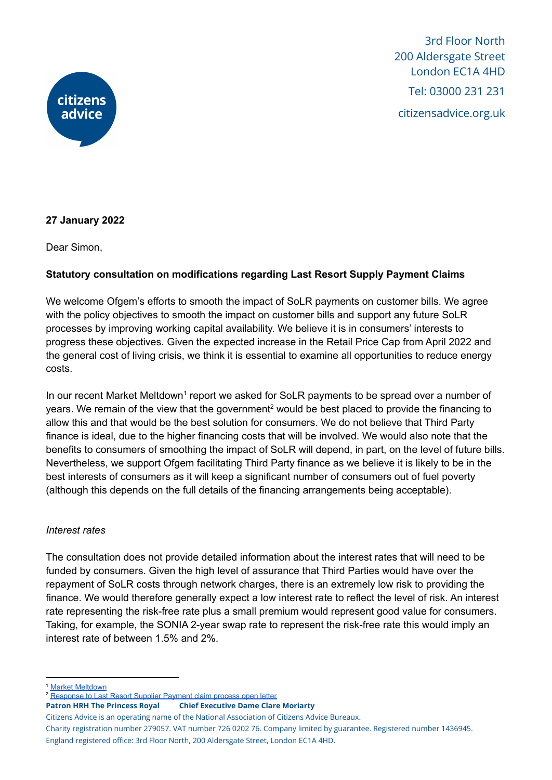

3rd Floor North 200 Aldersgate Street London EC1A 4HD Tel: 03000 231 231 citizensadvice.org.uk

## **27 January 2022**

Dear Simon,

## **Statutory consultation on modifications regarding Last Resort Supply Payment Claims**

We welcome Ofgem's efforts to smooth the impact of SoLR payments on customer bills. We agree with the policy objectives to smooth the impact on customer bills and support any future SoLR processes by improving working capital availability. We believe it is in consumers' interests to progress these objectives. Given the expected increase in the Retail Price Cap from April 2022 and the general cost of living crisis, we think it is essential to examine all opportunities to reduce energy costs.

In our recent Market Meltdown<sup>1</sup> report we asked for SoLR payments to be spread over a number of years. We remain of the view that the government<sup>2</sup> would be best placed to provide the financing to allow this and that would be the best solution for consumers. We do not believe that Third Party finance is ideal, due to the higher financing costs that will be involved. We would also note that the benefits to consumers of smoothing the impact of SoLR will depend, in part, on the level of future bills. Nevertheless, we support Ofgem facilitating Third Party finance as we believe it is likely to be in the best interests of consumers as it will keep a significant number of consumers out of fuel poverty (although this depends on the full details of the financing arrangements being acceptable).

## *Interest rates*

The consultation does not provide detailed information about the interest rates that will need to be funded by consumers. Given the high level of assurance that Third Parties would have over the repayment of SoLR costs through network charges, there is an extremely low risk to providing the finance. We would therefore generally expect a low interest rate to reflect the level of risk. An interest rate representing the risk-free rate plus a small premium would represent good value for consumers. Taking, for example, the SONIA 2-year swap rate to represent the risk-free rate this would imply an interest rate of between 1.5% and 2%.

<sup>2</sup> [Response](https://www.citizensadvice.org.uk/about-us/our-work/policy/policy-research-topics/energy-policy-research-and-consultation-responses/energy-consultation-responses/citizens-advice-response-to-last-resort-supply-payment-claim-lrsp-process-open-letter/) to Last Resort Supplier Payment claim process open letter

**Patron HRH The Princess Royal Chief Executive Dame Clare Moriarty**

Citizens Advice is an operating name of the National Association of Citizens Advice Bureaux.

Charity registration number 279057. VAT number 726 0202 76. Company limited by guarantee. Registered number 1436945. England registered office: 3rd Floor North, 200 Aldersgate Street, London EC1A 4HD.

**Market [Meltdown](https://www.citizensadvice.org.uk/about-us/our-work/policy/policy-research-topics/energy-policy-research-and-consultation-responses/energy-policy-research/market-meltdown-how-regulatory-failures-landed-us-with-a-multi-billion-pound-bill/)**